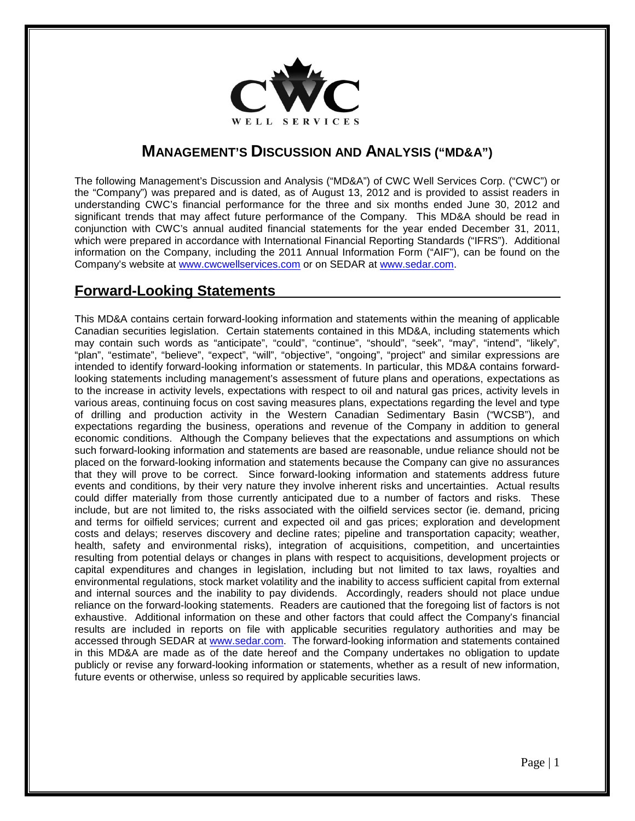

## **MANAGEMENT'S DISCUSSION AND ANALYSIS ("MD&A")**

The following Management's Discussion and Analysis ("MD&A") of CWC Well Services Corp. ("CWC") or the "Company") was prepared and is dated, as of August 13, 2012 and is provided to assist readers in understanding CWC's financial performance for the three and six months ended June 30, 2012 and significant trends that may affect future performance of the Company. This MD&A should be read in conjunction with CWC's annual audited financial statements for the year ended December 31, 2011, which were prepared in accordance with International Financial Reporting Standards ("IFRS"). Additional information on the Company, including the 2011 Annual Information Form ("AIF"), can be found on the Company's website at [www.cwcwellservices.com](http://www.cwcwellservices.com/) or on SEDAR at [www.sedar.com.](http://www.sedar.com/)

## **Forward-Looking Statements**

This MD&A contains certain forward-looking information and statements within the meaning of applicable Canadian securities legislation. Certain statements contained in this MD&A, including statements which may contain such words as "anticipate", "could", "continue", "should", "seek", "may", "intend", "likely", "plan", "estimate", "believe", "expect", "will", "objective", "ongoing", "project" and similar expressions are intended to identify forward-looking information or statements. In particular, this MD&A contains forwardlooking statements including management's assessment of future plans and operations, expectations as to the increase in activity levels, expectations with respect to oil and natural gas prices, activity levels in various areas, continuing focus on cost saving measures plans, expectations regarding the level and type of drilling and production activity in the Western Canadian Sedimentary Basin ("WCSB"), and expectations regarding the business, operations and revenue of the Company in addition to general economic conditions. Although the Company believes that the expectations and assumptions on which such forward-looking information and statements are based are reasonable, undue reliance should not be placed on the forward-looking information and statements because the Company can give no assurances that they will prove to be correct. Since forward-looking information and statements address future events and conditions, by their very nature they involve inherent risks and uncertainties. Actual results could differ materially from those currently anticipated due to a number of factors and risks. These include, but are not limited to, the risks associated with the oilfield services sector (ie. demand, pricing and terms for oilfield services; current and expected oil and gas prices; exploration and development costs and delays; reserves discovery and decline rates; pipeline and transportation capacity; weather, health, safety and environmental risks), integration of acquisitions, competition, and uncertainties resulting from potential delays or changes in plans with respect to acquisitions, development projects or capital expenditures and changes in legislation, including but not limited to tax laws, royalties and environmental regulations, stock market volatility and the inability to access sufficient capital from external and internal sources and the inability to pay dividends. Accordingly, readers should not place undue reliance on the forward-looking statements. Readers are cautioned that the foregoing list of factors is not exhaustive. Additional information on these and other factors that could affect the Company's financial results are included in reports on file with applicable securities regulatory authorities and may be accessed through SEDAR at [www.sedar.com.](http://www.sedar.com/) The forward-looking information and statements contained in this MD&A are made as of the date hereof and the Company undertakes no obligation to update publicly or revise any forward-looking information or statements, whether as a result of new information, future events or otherwise, unless so required by applicable securities laws.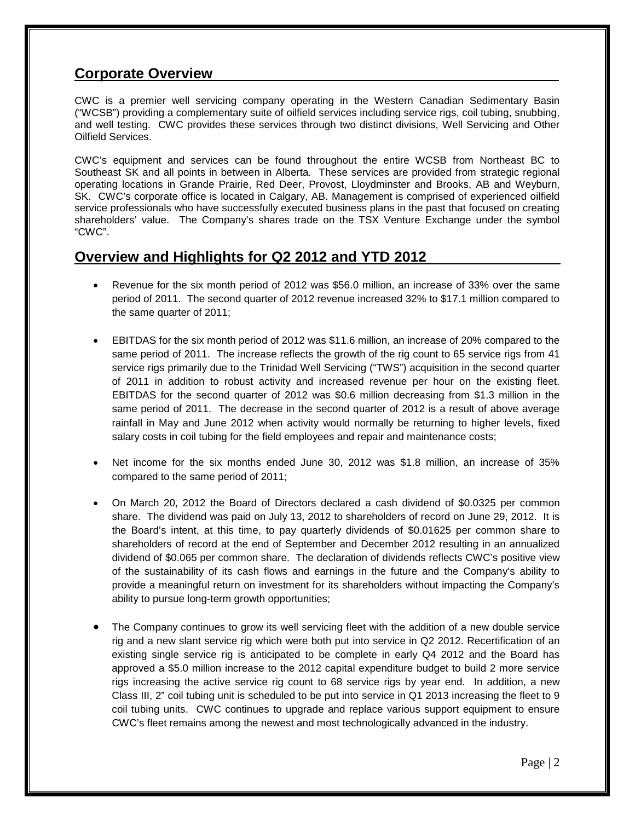## **Corporate Overview**

CWC is a premier well servicing company operating in the Western Canadian Sedimentary Basin ("WCSB") providing a complementary suite of oilfield services including service rigs, coil tubing, snubbing, and well testing. CWC provides these services through two distinct divisions, Well Servicing and Other Oilfield Services.

CWC's equipment and services can be found throughout the entire WCSB from Northeast BC to Southeast SK and all points in between in Alberta. These services are provided from strategic regional operating locations in Grande Prairie, Red Deer, Provost, Lloydminster and Brooks, AB and Weyburn, SK. CWC's corporate office is located in Calgary, AB. Management is comprised of experienced oilfield service professionals who have successfully executed business plans in the past that focused on creating shareholders' value. The Company's shares trade on the TSX Venture Exchange under the symbol "CWC".

## **Overview and Highlights for Q2 2012 and YTD 2012**

- Revenue for the six month period of 2012 was \$56.0 million, an increase of 33% over the same period of 2011. The second quarter of 2012 revenue increased 32% to \$17.1 million compared to the same quarter of 2011;
- EBITDAS for the six month period of 2012 was \$11.6 million, an increase of 20% compared to the same period of 2011. The increase reflects the growth of the rig count to 65 service rigs from 41 service rigs primarily due to the Trinidad Well Servicing ("TWS") acquisition in the second quarter of 2011 in addition to robust activity and increased revenue per hour on the existing fleet. EBITDAS for the second quarter of 2012 was \$0.6 million decreasing from \$1.3 million in the same period of 2011. The decrease in the second quarter of 2012 is a result of above average rainfall in May and June 2012 when activity would normally be returning to higher levels, fixed salary costs in coil tubing for the field employees and repair and maintenance costs;
- Net income for the six months ended June 30, 2012 was \$1.8 million, an increase of 35% compared to the same period of 2011;
- On March 20, 2012 the Board of Directors declared a cash dividend of \$0.0325 per common share. The dividend was paid on July 13, 2012 to shareholders of record on June 29, 2012. It is the Board's intent, at this time, to pay quarterly dividends of \$0.01625 per common share to shareholders of record at the end of September and December 2012 resulting in an annualized dividend of \$0.065 per common share. The declaration of dividends reflects CWC's positive view of the sustainability of its cash flows and earnings in the future and the Company's ability to provide a meaningful return on investment for its shareholders without impacting the Company's ability to pursue long-term growth opportunities;
- The Company continues to grow its well servicing fleet with the addition of a new double service rig and a new slant service rig which were both put into service in Q2 2012. Recertification of an existing single service rig is anticipated to be complete in early Q4 2012 and the Board has approved a \$5.0 million increase to the 2012 capital expenditure budget to build 2 more service rigs increasing the active service rig count to 68 service rigs by year end. In addition, a new Class III, 2" coil tubing unit is scheduled to be put into service in Q1 2013 increasing the fleet to 9 coil tubing units. CWC continues to upgrade and replace various support equipment to ensure CWC's fleet remains among the newest and most technologically advanced in the industry.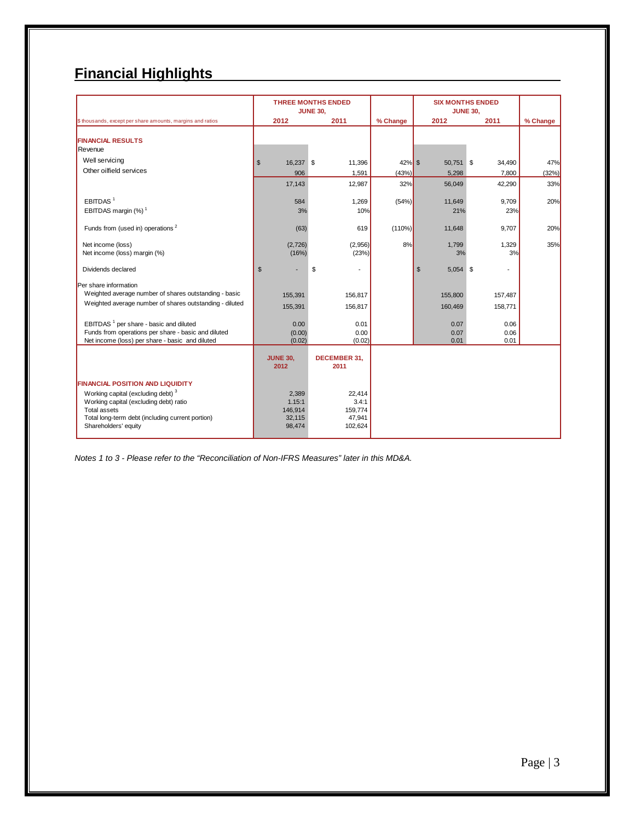# **Financial Highlights**

|                                                                                                                                                                                                                                       |                                                | <b>THREE MONTHS ENDED</b><br><b>JUNE 30,</b>    |                           | <b>SIX MONTHS ENDED</b><br><b>JUNE 30,</b> |                           |                     |
|---------------------------------------------------------------------------------------------------------------------------------------------------------------------------------------------------------------------------------------|------------------------------------------------|-------------------------------------------------|---------------------------|--------------------------------------------|---------------------------|---------------------|
| \$ thousands, except per share amounts, margins and ratios                                                                                                                                                                            | 2012                                           | 2011                                            | % Change                  | 2012                                       | 2011                      | % Change            |
| <b>FINANCIAL RESULTS</b><br>Revenue                                                                                                                                                                                                   |                                                |                                                 |                           |                                            |                           |                     |
| Well servicing<br>Other oilfield services                                                                                                                                                                                             | $\mathbb{S}$<br>16,237 \$<br>906<br>17,143     | 11,396<br>1,591<br>12,987                       | $42\%$ \$<br>(43%)<br>32% | 50,751 \$<br>5,298<br>56,049               | 34,490<br>7,800<br>42,290 | 47%<br>(32%)<br>33% |
| EBITDAS <sup>1</sup><br>EBITDAS margin (%) <sup>1</sup>                                                                                                                                                                               | 584<br>3%                                      | 1,269<br>10%                                    | (54%)                     | 11,649<br>21%                              | 9.709<br>23%              | 20%                 |
| Funds from (used in) operations <sup>2</sup>                                                                                                                                                                                          | (63)                                           | 619                                             | (110%)                    | 11,648                                     | 9,707                     | 20%                 |
| Net income (loss)<br>Net income (loss) margin (%)                                                                                                                                                                                     | (2,726)<br>(16%)                               | (2,956)<br>(23%)                                | 8%                        | 1,799<br>3%                                | 1,329<br>3%               | 35%                 |
| Dividends declared                                                                                                                                                                                                                    | $\mathfrak{s}$                                 | \$                                              |                           | $5,054$ \$<br>\$                           | ٠                         |                     |
| Per share information<br>Weighted average number of shares outstanding - basic<br>Weighted average number of shares outstanding - diluted                                                                                             | 155,391<br>155,391                             | 156,817<br>156,817                              |                           | 155,800<br>160,469                         | 157,487<br>158,771        |                     |
| EBITDAS <sup>1</sup> per share - basic and diluted<br>Funds from operations per share - basic and diluted<br>Net income (loss) per share - basic and diluted                                                                          | 0.00<br>(0.00)<br>(0.02)                       | 0.01<br>0.00<br>(0.02)                          |                           | 0.07<br>0.07<br>0.01                       | 0.06<br>0.06<br>0.01      |                     |
|                                                                                                                                                                                                                                       | <b>JUNE 30,</b><br>2012                        | <b>DECEMBER 31.</b><br>2011                     |                           |                                            |                           |                     |
| <b>FINANCIAL POSITION AND LIQUIDITY</b><br>Working capital (excluding debt) <sup>3</sup><br>Working capital (excluding debt) ratio<br><b>Total assets</b><br>Total long-term debt (including current portion)<br>Shareholders' equity | 2,389<br>1.15:1<br>146,914<br>32,115<br>98,474 | 22,414<br>3.4:1<br>159,774<br>47,941<br>102,624 |                           |                                            |                           |                     |

*Notes 1 to 3 - Please refer to the "Reconciliation of Non-IFRS Measures" later in this MD&A.*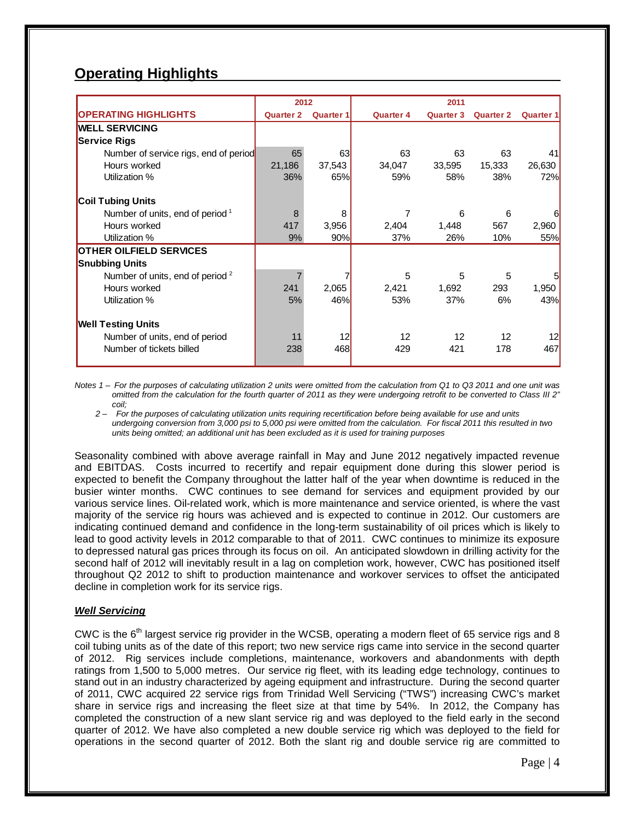# **Operating Highlights**

|                                             | 2012             |                  |                  |                  |                  |                  |
|---------------------------------------------|------------------|------------------|------------------|------------------|------------------|------------------|
| <b>OPERATING HIGHLIGHTS</b>                 | <b>Quarter 2</b> | <b>Quarter 1</b> | <b>Quarter 4</b> | <b>Quarter 3</b> | <b>Quarter 2</b> | <b>Quarter 1</b> |
| <b>WELL SERVICING</b>                       |                  |                  |                  |                  |                  |                  |
| <b>Service Rigs</b>                         |                  |                  |                  |                  |                  |                  |
| Number of service rigs, end of period       | 65               | 63               | 63               | 63               | 63               | 41               |
| Hours worked                                | 21,186           | 37,543           | 34,047           | 33,595           | 15,333           | 26,630           |
| Utilization %                               | 36%              | 65%              | 59%              | 58%              | 38%              | 72%              |
| <b>Coil Tubing Units</b>                    |                  |                  |                  |                  |                  |                  |
| Number of units, end of period <sup>1</sup> | 8                | 8                |                  | 6                | 6                |                  |
| Hours worked                                | 417              | 3,956            | 2,404            | 1,448            | 567              | 2,960            |
| Utilization %                               | 9%               | 90%              | 37%              | 26%              | 10%              | 55%              |
| <b>OTHER OILFIELD SERVICES</b>              |                  |                  |                  |                  |                  |                  |
| <b>Snubbing Units</b>                       |                  |                  |                  |                  |                  |                  |
| Number of units, end of period <sup>2</sup> |                  |                  | 5                | 5                | 5                | 5                |
| Hours worked                                | 241              | 2,065            | 2,421            | 1,692            | 293              | 1,950            |
| Utilization %                               | 5%               | 46%              | 53%              | 37%              | 6%               | 43%              |
| <b>Well Testing Units</b>                   |                  |                  |                  |                  |                  |                  |
| Number of units, end of period              | 11               | 12               | 12               | 12               | 12               |                  |
| Number of tickets billed                    | 238              | 468              | 429              | 421              | 178              | 467              |

*Notes 1 – For the purposes of calculating utilization 2 units were omitted from the calculation from Q1 to Q3 2011 and one unit was omitted from the calculation for the fourth quarter of 2011 as they were undergoing retrofit to be converted to Class III 2" coil;* 

 *2 – For the purposes of calculating utilization units requiring recertification before being available for use and units undergoing conversion from 3,000 psi to 5,000 psi were omitted from the calculation. For fiscal 2011 this resulted in two units being omitted; an additional unit has been excluded as it is used for training purposes*

Seasonality combined with above average rainfall in May and June 2012 negatively impacted revenue and EBITDAS. Costs incurred to recertify and repair equipment done during this slower period is expected to benefit the Company throughout the latter half of the year when downtime is reduced in the busier winter months. CWC continues to see demand for services and equipment provided by our various service lines. Oil-related work, which is more maintenance and service oriented, is where the vast majority of the service rig hours was achieved and is expected to continue in 2012. Our customers are indicating continued demand and confidence in the long-term sustainability of oil prices which is likely to lead to good activity levels in 2012 comparable to that of 2011. CWC continues to minimize its exposure to depressed natural gas prices through its focus on oil. An anticipated slowdown in drilling activity for the second half of 2012 will inevitably result in a lag on completion work, however, CWC has positioned itself throughout Q2 2012 to shift to production maintenance and workover services to offset the anticipated decline in completion work for its service rigs.

### *Well Servicing*

CWC is the  $6<sup>th</sup>$  largest service rig provider in the WCSB, operating a modern fleet of 65 service rigs and 8 coil tubing units as of the date of this report; two new service rigs came into service in the second quarter of 2012. Rig services include completions, maintenance, workovers and abandonments with depth ratings from 1,500 to 5,000 metres. Our service rig fleet, with its leading edge technology, continues to stand out in an industry characterized by ageing equipment and infrastructure. During the second quarter of 2011, CWC acquired 22 service rigs from Trinidad Well Servicing ("TWS") increasing CWC's market share in service rigs and increasing the fleet size at that time by 54%. In 2012, the Company has completed the construction of a new slant service rig and was deployed to the field early in the second quarter of 2012. We have also completed a new double service rig which was deployed to the field for operations in the second quarter of 2012. Both the slant rig and double service rig are committed to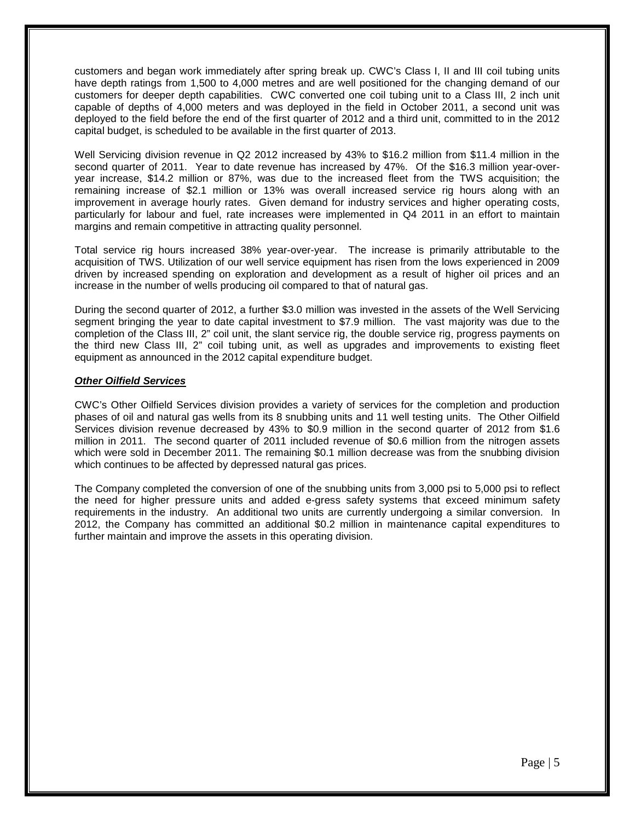customers and began work immediately after spring break up. CWC's Class I, II and III coil tubing units have depth ratings from 1,500 to 4,000 metres and are well positioned for the changing demand of our customers for deeper depth capabilities. CWC converted one coil tubing unit to a Class III, 2 inch unit capable of depths of 4,000 meters and was deployed in the field in October 2011, a second unit was deployed to the field before the end of the first quarter of 2012 and a third unit, committed to in the 2012 capital budget, is scheduled to be available in the first quarter of 2013.

Well Servicing division revenue in Q2 2012 increased by 43% to \$16.2 million from \$11.4 million in the second quarter of 2011. Year to date revenue has increased by 47%. Of the \$16.3 million year-overyear increase, \$14.2 million or 87%, was due to the increased fleet from the TWS acquisition; the remaining increase of \$2.1 million or 13% was overall increased service rig hours along with an improvement in average hourly rates. Given demand for industry services and higher operating costs, particularly for labour and fuel, rate increases were implemented in Q4 2011 in an effort to maintain margins and remain competitive in attracting quality personnel.

Total service rig hours increased 38% year-over-year. The increase is primarily attributable to the acquisition of TWS. Utilization of our well service equipment has risen from the lows experienced in 2009 driven by increased spending on exploration and development as a result of higher oil prices and an increase in the number of wells producing oil compared to that of natural gas.

During the second quarter of 2012, a further \$3.0 million was invested in the assets of the Well Servicing segment bringing the year to date capital investment to \$7.9 million. The vast majority was due to the completion of the Class III, 2" coil unit, the slant service rig, the double service rig, progress payments on the third new Class III, 2" coil tubing unit, as well as upgrades and improvements to existing fleet equipment as announced in the 2012 capital expenditure budget.

#### *Other Oilfield Services*

CWC's Other Oilfield Services division provides a variety of services for the completion and production phases of oil and natural gas wells from its 8 snubbing units and 11 well testing units. The Other Oilfield Services division revenue decreased by 43% to \$0.9 million in the second quarter of 2012 from \$1.6 million in 2011. The second quarter of 2011 included revenue of \$0.6 million from the nitrogen assets which were sold in December 2011. The remaining \$0.1 million decrease was from the snubbing division which continues to be affected by depressed natural gas prices.

The Company completed the conversion of one of the snubbing units from 3,000 psi to 5,000 psi to reflect the need for higher pressure units and added e-gress safety systems that exceed minimum safety requirements in the industry. An additional two units are currently undergoing a similar conversion. In 2012, the Company has committed an additional \$0.2 million in maintenance capital expenditures to further maintain and improve the assets in this operating division.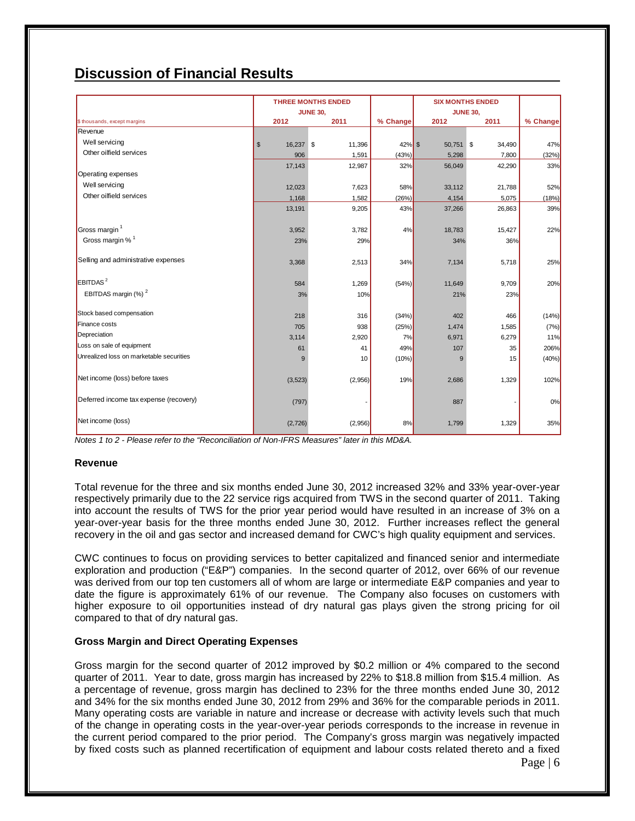## **Discussion of Financial Results**

|                                          |                 | <b>THREE MONTHS ENDED</b> |           | <b>SIX MONTHS ENDED</b> |        |          |
|------------------------------------------|-----------------|---------------------------|-----------|-------------------------|--------|----------|
|                                          | <b>JUNE 30,</b> |                           |           | <b>JUNE 30,</b>         |        |          |
| \$ thousands, except margins<br>Revenue  | 2012            | 2011                      | % Change  | 2012                    | 2011   | % Change |
|                                          |                 |                           |           |                         |        |          |
| Well servicing                           | \$<br>16,237 \$ | 11,396                    | $42\%$ \$ | 50,751 \$               | 34,490 | 47%      |
| Other oilfield services                  | 906             | 1,591                     | (43%)     | 5,298                   | 7,800  | (32%)    |
|                                          | 17,143          | 12,987                    | 32%       | 56,049                  | 42,290 | 33%      |
| Operating expenses                       |                 |                           |           |                         |        |          |
| Well servicing                           | 12,023          | 7,623                     | 58%       | 33,112                  | 21,788 | 52%      |
| Other oilfield services                  | 1,168           | 1,582                     | (26%)     | 4,154                   | 5,075  | (18%)    |
|                                          | 13,191          | 9,205                     | 43%       | 37,266                  | 26,863 | 39%      |
| Gross margin <sup>1</sup>                | 3,952           | 3,782                     | 4%        | 18,783                  | 15,427 | 22%      |
| Gross margin % <sup>1</sup>              | 23%             | 29%                       |           | 34%                     | 36%    |          |
| Selling and administrative expenses      |                 |                           |           |                         |        |          |
|                                          | 3,368           | 2,513                     | 34%       | 7,134                   | 5,718  | 25%      |
| $E$ BITDAS <sup>2</sup>                  | 584             | 1,269                     | (54%)     | 11,649                  | 9,709  | 20%      |
| EBITDAS margin $(\%)^2$                  | 3%              | 10%                       |           | 21%                     | 23%    |          |
| Stock based compensation                 | 218             | 316                       | (34%)     | 402                     | 466    | (14%)    |
| Finance costs                            | 705             | 938                       | (25%)     | 1,474                   | 1,585  | (7%)     |
| Depreciation                             | 3,114           | 2,920                     | 7%        | 6,971                   | 6,279  | 11%      |
| Loss on sale of equipment                | 61              | 41                        | 49%       | 107                     | 35     | 206%     |
| Unrealized loss on marketable securities | 9               | 10                        | (10%)     | 9                       | 15     | (40%)    |
| Net income (loss) before taxes           | (3,523)         | (2,956)                   | 19%       | 2,686                   | 1,329  | 102%     |
| Deferred income tax expense (recovery)   | (797)           |                           |           | 887                     |        | 0%       |
| Net income (loss)                        | (2,726)         | (2,956)                   | 8%        | 1,799                   | 1,329  | 35%      |

*Notes 1 to 2 - Please refer to the "Reconciliation of Non-IFRS Measures" later in this MD&A.*

#### **Revenue**

Total revenue for the three and six months ended June 30, 2012 increased 32% and 33% year-over-year respectively primarily due to the 22 service rigs acquired from TWS in the second quarter of 2011. Taking into account the results of TWS for the prior year period would have resulted in an increase of 3% on a year-over-year basis for the three months ended June 30, 2012. Further increases reflect the general recovery in the oil and gas sector and increased demand for CWC's high quality equipment and services.

CWC continues to focus on providing services to better capitalized and financed senior and intermediate exploration and production ("E&P") companies. In the second quarter of 2012, over 66% of our revenue was derived from our top ten customers all of whom are large or intermediate E&P companies and year to date the figure is approximately 61% of our revenue. The Company also focuses on customers with higher exposure to oil opportunities instead of dry natural gas plays given the strong pricing for oil compared to that of dry natural gas.

#### **Gross Margin and Direct Operating Expenses**

Gross margin for the second quarter of 2012 improved by \$0.2 million or 4% compared to the second quarter of 2011. Year to date, gross margin has increased by 22% to \$18.8 million from \$15.4 million. As a percentage of revenue, gross margin has declined to 23% for the three months ended June 30, 2012 and 34% for the six months ended June 30, 2012 from 29% and 36% for the comparable periods in 2011. Many operating costs are variable in nature and increase or decrease with activity levels such that much of the change in operating costs in the year-over-year periods corresponds to the increase in revenue in the current period compared to the prior period. The Company's gross margin was negatively impacted by fixed costs such as planned recertification of equipment and labour costs related thereto and a fixed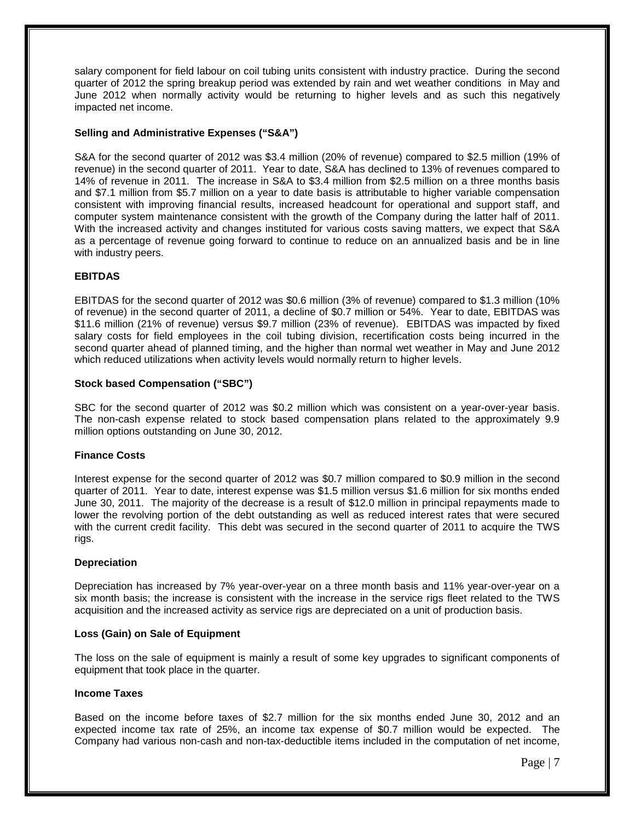salary component for field labour on coil tubing units consistent with industry practice. During the second quarter of 2012 the spring breakup period was extended by rain and wet weather conditions in May and June 2012 when normally activity would be returning to higher levels and as such this negatively impacted net income.

#### **Selling and Administrative Expenses ("S&A")**

S&A for the second quarter of 2012 was \$3.4 million (20% of revenue) compared to \$2.5 million (19% of revenue) in the second quarter of 2011. Year to date, S&A has declined to 13% of revenues compared to 14% of revenue in 2011. The increase in S&A to \$3.4 million from \$2.5 million on a three months basis and \$7.1 million from \$5.7 million on a year to date basis is attributable to higher variable compensation consistent with improving financial results, increased headcount for operational and support staff, and computer system maintenance consistent with the growth of the Company during the latter half of 2011. With the increased activity and changes instituted for various costs saving matters, we expect that S&A as a percentage of revenue going forward to continue to reduce on an annualized basis and be in line with industry peers.

#### **EBITDAS**

EBITDAS for the second quarter of 2012 was \$0.6 million (3% of revenue) compared to \$1.3 million (10% of revenue) in the second quarter of 2011, a decline of \$0.7 million or 54%. Year to date, EBITDAS was \$11.6 million (21% of revenue) versus \$9.7 million (23% of revenue). EBITDAS was impacted by fixed salary costs for field employees in the coil tubing division, recertification costs being incurred in the second quarter ahead of planned timing, and the higher than normal wet weather in May and June 2012 which reduced utilizations when activity levels would normally return to higher levels.

#### **Stock based Compensation ("SBC")**

SBC for the second quarter of 2012 was \$0.2 million which was consistent on a year-over-year basis. The non-cash expense related to stock based compensation plans related to the approximately 9.9 million options outstanding on June 30, 2012.

#### **Finance Costs**

Interest expense for the second quarter of 2012 was \$0.7 million compared to \$0.9 million in the second quarter of 2011. Year to date, interest expense was \$1.5 million versus \$1.6 million for six months ended June 30, 2011. The majority of the decrease is a result of \$12.0 million in principal repayments made to lower the revolving portion of the debt outstanding as well as reduced interest rates that were secured with the current credit facility. This debt was secured in the second quarter of 2011 to acquire the TWS rigs.

#### **Depreciation**

Depreciation has increased by 7% year-over-year on a three month basis and 11% year-over-year on a six month basis; the increase is consistent with the increase in the service rigs fleet related to the TWS acquisition and the increased activity as service rigs are depreciated on a unit of production basis.

#### **Loss (Gain) on Sale of Equipment**

The loss on the sale of equipment is mainly a result of some key upgrades to significant components of equipment that took place in the quarter.

#### **Income Taxes**

Based on the income before taxes of \$2.7 million for the six months ended June 30, 2012 and an expected income tax rate of 25%, an income tax expense of \$0.7 million would be expected. The Company had various non-cash and non-tax-deductible items included in the computation of net income,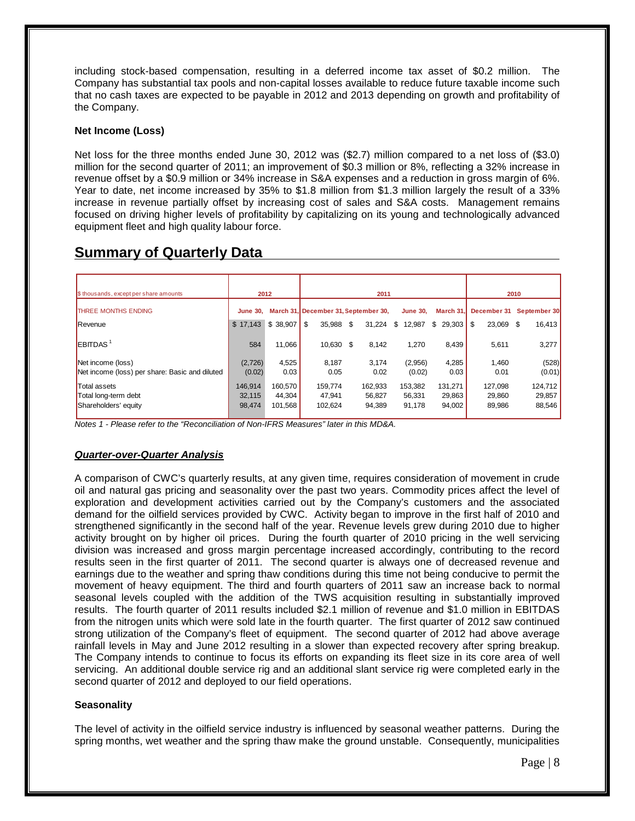including stock-based compensation, resulting in a deferred income tax asset of \$0.2 million. The Company has substantial tax pools and non-capital losses available to reduce future taxable income such that no cash taxes are expected to be payable in 2012 and 2013 depending on growth and profitability of the Company.

#### **Net Income (Loss)**

Net loss for the three months ended June 30, 2012 was (\$2.7) million compared to a net loss of (\$3.0) million for the second quarter of 2011; an improvement of \$0.3 million or 8%, reflecting a 32% increase in revenue offset by a \$0.9 million or 34% increase in S&A expenses and a reduction in gross margin of 6%. Year to date, net income increased by 35% to \$1.8 million from \$1.3 million largely the result of a 33% increase in revenue partially offset by increasing cost of sales and S&A costs. Management remains focused on driving higher levels of profitability by capitalizing on its young and technologically advanced equipment fleet and high quality labour force.

| \$ thousands, except per share amounts                              | 2012                        |                              | 2011                                 |    |                             |                             |                             | 2010                        |                             |  |
|---------------------------------------------------------------------|-----------------------------|------------------------------|--------------------------------------|----|-----------------------------|-----------------------------|-----------------------------|-----------------------------|-----------------------------|--|
| <b>THREE MONTHS ENDING</b>                                          | <b>June 30.</b>             |                              | March 31, December 31, September 30, |    |                             | <b>June 30.</b>             | March 31.                   | December 31                 | September 30                |  |
| Revenue                                                             | \$17.143                    | \$38,907                     | \$<br>35.988                         | \$ | 31.224                      | \$<br>12,987                | \$<br>29,303                | 23.069 \$<br>S              | 16,413                      |  |
| $E$ BITDAS <sup>1</sup>                                             | 584                         | 11.066                       | 10,630 \$                            |    | 8,142                       | 1,270                       | 8,439                       | 5,611                       | 3,277                       |  |
| Net income (loss)<br>Net income (loss) per share: Basic and diluted | (2,726)<br>(0.02)           | 4,525<br>0.03                | 8,187<br>0.05                        |    | 3.174<br>0.02               | (2,956)<br>(0.02)           | 4,285<br>0.03               | 1,460<br>0.01               | (528)<br>(0.01)             |  |
| <b>Total assets</b><br>Total long-term debt<br>Shareholders' equity | 146.914<br>32,115<br>98,474 | 160.570<br>44,304<br>101,568 | 159.774<br>47,941<br>102,624         |    | 162,933<br>56,827<br>94,389 | 153,382<br>56,331<br>91,178 | 131.271<br>29,863<br>94,002 | 127,098<br>29,860<br>89,986 | 124,712<br>29,857<br>88,546 |  |

## **Summary of Quarterly Data**

*Notes 1 - Please refer to the "Reconciliation of Non-IFRS Measures" later in this MD&A.*

#### *Quarter-over-Quarter Analysis*

A comparison of CWC's quarterly results, at any given time, requires consideration of movement in crude oil and natural gas pricing and seasonality over the past two years. Commodity prices affect the level of exploration and development activities carried out by the Company's customers and the associated demand for the oilfield services provided by CWC. Activity began to improve in the first half of 2010 and strengthened significantly in the second half of the year. Revenue levels grew during 2010 due to higher activity brought on by higher oil prices. During the fourth quarter of 2010 pricing in the well servicing division was increased and gross margin percentage increased accordingly, contributing to the record results seen in the first quarter of 2011. The second quarter is always one of decreased revenue and earnings due to the weather and spring thaw conditions during this time not being conducive to permit the movement of heavy equipment. The third and fourth quarters of 2011 saw an increase back to normal seasonal levels coupled with the addition of the TWS acquisition resulting in substantially improved results. The fourth quarter of 2011 results included \$2.1 million of revenue and \$1.0 million in EBITDAS from the nitrogen units which were sold late in the fourth quarter. The first quarter of 2012 saw continued strong utilization of the Company's fleet of equipment. The second quarter of 2012 had above average rainfall levels in May and June 2012 resulting in a slower than expected recovery after spring breakup. The Company intends to continue to focus its efforts on expanding its fleet size in its core area of well servicing. An additional double service rig and an additional slant service rig were completed early in the second quarter of 2012 and deployed to our field operations.

#### **Seasonality**

The level of activity in the oilfield service industry is influenced by seasonal weather patterns. During the spring months, wet weather and the spring thaw make the ground unstable. Consequently, municipalities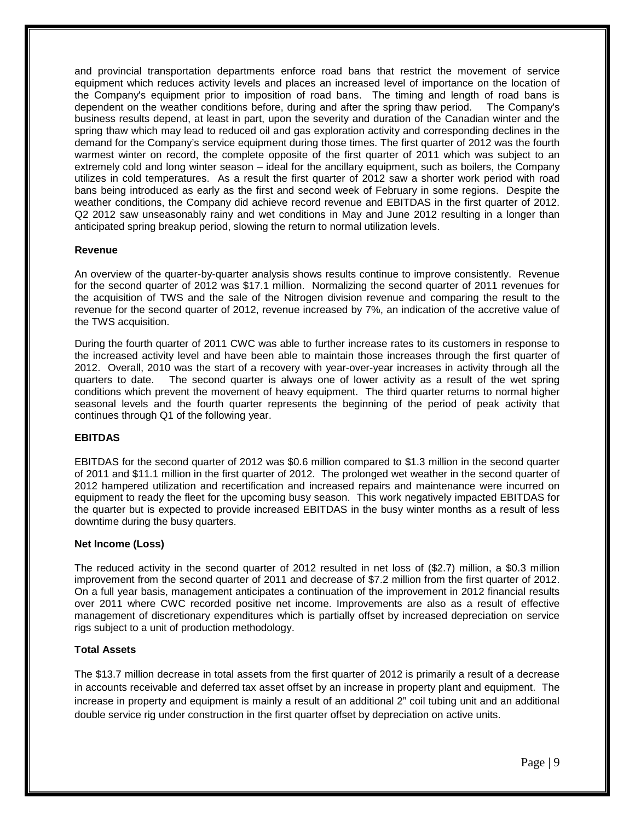and provincial transportation departments enforce road bans that restrict the movement of service equipment which reduces activity levels and places an increased level of importance on the location of the Company's equipment prior to imposition of road bans. The timing and length of road bans is dependent on the weather conditions before, during and after the spring thaw period. The Company's business results depend, at least in part, upon the severity and duration of the Canadian winter and the spring thaw which may lead to reduced oil and gas exploration activity and corresponding declines in the demand for the Company's service equipment during those times. The first quarter of 2012 was the fourth warmest winter on record, the complete opposite of the first quarter of 2011 which was subject to an extremely cold and long winter season – ideal for the ancillary equipment, such as boilers, the Company utilizes in cold temperatures. As a result the first quarter of 2012 saw a shorter work period with road bans being introduced as early as the first and second week of February in some regions. Despite the weather conditions, the Company did achieve record revenue and EBITDAS in the first quarter of 2012. Q2 2012 saw unseasonably rainy and wet conditions in May and June 2012 resulting in a longer than anticipated spring breakup period, slowing the return to normal utilization levels.

#### **Revenue**

An overview of the quarter-by-quarter analysis shows results continue to improve consistently. Revenue for the second quarter of 2012 was \$17.1 million. Normalizing the second quarter of 2011 revenues for the acquisition of TWS and the sale of the Nitrogen division revenue and comparing the result to the revenue for the second quarter of 2012, revenue increased by 7%, an indication of the accretive value of the TWS acquisition.

During the fourth quarter of 2011 CWC was able to further increase rates to its customers in response to the increased activity level and have been able to maintain those increases through the first quarter of 2012. Overall, 2010 was the start of a recovery with year-over-year increases in activity through all the quarters to date. The second quarter is always one of lower activity as a result of the wet spring conditions which prevent the movement of heavy equipment. The third quarter returns to normal higher seasonal levels and the fourth quarter represents the beginning of the period of peak activity that continues through Q1 of the following year.

### **EBITDAS**

EBITDAS for the second quarter of 2012 was \$0.6 million compared to \$1.3 million in the second quarter of 2011 and \$11.1 million in the first quarter of 2012. The prolonged wet weather in the second quarter of 2012 hampered utilization and recertification and increased repairs and maintenance were incurred on equipment to ready the fleet for the upcoming busy season. This work negatively impacted EBITDAS for the quarter but is expected to provide increased EBITDAS in the busy winter months as a result of less downtime during the busy quarters.

#### **Net Income (Loss)**

The reduced activity in the second quarter of 2012 resulted in net loss of (\$2.7) million, a \$0.3 million improvement from the second quarter of 2011 and decrease of \$7.2 million from the first quarter of 2012. On a full year basis, management anticipates a continuation of the improvement in 2012 financial results over 2011 where CWC recorded positive net income. Improvements are also as a result of effective management of discretionary expenditures which is partially offset by increased depreciation on service rigs subject to a unit of production methodology.

### **Total Assets**

The \$13.7 million decrease in total assets from the first quarter of 2012 is primarily a result of a decrease in accounts receivable and deferred tax asset offset by an increase in property plant and equipment. The increase in property and equipment is mainly a result of an additional 2" coil tubing unit and an additional double service rig under construction in the first quarter offset by depreciation on active units.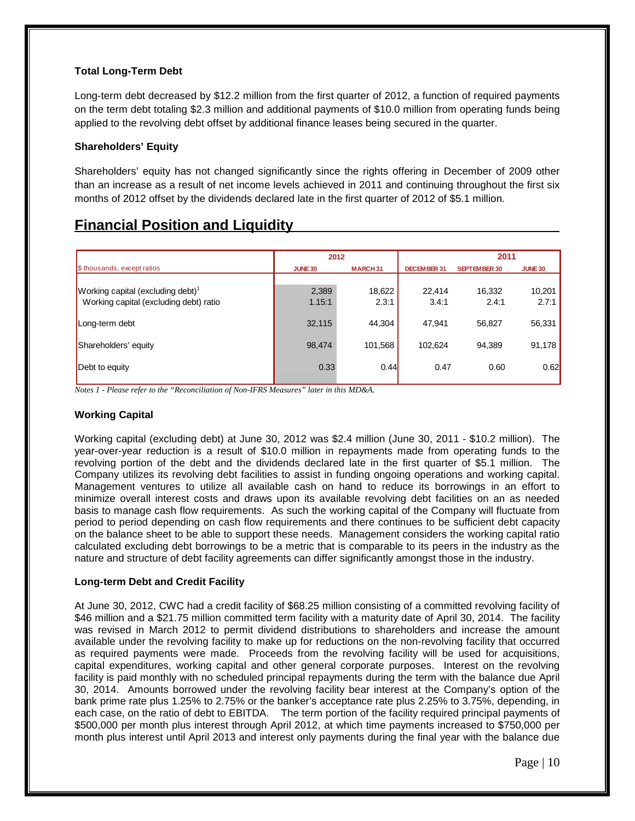### **Total Long-Term Debt**

Long-term debt decreased by \$12.2 million from the first quarter of 2012, a function of required payments on the term debt totaling \$2.3 million and additional payments of \$10.0 million from operating funds being applied to the revolving debt offset by additional finance leases being secured in the quarter.

#### **Shareholders' Equity**

Shareholders' equity has not changed significantly since the rights offering in December of 2009 other than an increase as a result of net income levels achieved in 2011 and continuing throughout the first six months of 2012 offset by the dividends declared late in the first quarter of 2012 of \$5.1 million.

## **Financial Position and Liquidity**

|                                               | 2012           |                |                    | 2011                |                |  |
|-----------------------------------------------|----------------|----------------|--------------------|---------------------|----------------|--|
| \$ thousands, except ratios                   | <b>JUNE 30</b> | <b>MARCH31</b> | <b>DECEMBER 31</b> | <b>SEPTEMBER 30</b> | <b>JUNE 30</b> |  |
|                                               |                |                |                    |                     |                |  |
| Working capital (excluding debt) <sup>1</sup> | 2,389          | 18,622         | 22.414             | 16,332              | 10,201         |  |
| Working capital (excluding debt) ratio        | 1.15:1         | 2.3:1          | 3.4:1              | 2.4:1               | 2.7:1          |  |
| Long-term debt                                | 32,115         | 44.304         | 47.941             | 56,827              | 56,331         |  |
| Shareholders' equity                          | 98,474         | 101.568        | 102.624            | 94,389              | 91,178         |  |
| Debt to equity                                | 0.33           | 0.44           | 0.47               | 0.60                | 0.62           |  |

*Notes 1 - Please refer to the "Reconciliation of Non-IFRS Measures" later in this MD&A.*

### **Working Capital**

Working capital (excluding debt) at June 30, 2012 was \$2.4 million (June 30, 2011 - \$10.2 million). The year-over-year reduction is a result of \$10.0 million in repayments made from operating funds to the revolving portion of the debt and the dividends declared late in the first quarter of \$5.1 million. The Company utilizes its revolving debt facilities to assist in funding ongoing operations and working capital. Management ventures to utilize all available cash on hand to reduce its borrowings in an effort to minimize overall interest costs and draws upon its available revolving debt facilities on an as needed basis to manage cash flow requirements. As such the working capital of the Company will fluctuate from period to period depending on cash flow requirements and there continues to be sufficient debt capacity on the balance sheet to be able to support these needs. Management considers the working capital ratio calculated excluding debt borrowings to be a metric that is comparable to its peers in the industry as the nature and structure of debt facility agreements can differ significantly amongst those in the industry.

### **Long-term Debt and Credit Facility**

At June 30, 2012, CWC had a credit facility of \$68.25 million consisting of a committed revolving facility of \$46 million and a \$21.75 million committed term facility with a maturity date of April 30, 2014. The facility was revised in March 2012 to permit dividend distributions to shareholders and increase the amount available under the revolving facility to make up for reductions on the non-revolving facility that occurred as required payments were made. Proceeds from the revolving facility will be used for acquisitions, capital expenditures, working capital and other general corporate purposes. Interest on the revolving facility is paid monthly with no scheduled principal repayments during the term with the balance due April 30, 2014. Amounts borrowed under the revolving facility bear interest at the Company's option of the bank prime rate plus 1.25% to 2.75% or the banker's acceptance rate plus 2.25% to 3.75%, depending, in each case, on the ratio of debt to EBITDA. The term portion of the facility required principal payments of \$500,000 per month plus interest through April 2012, at which time payments increased to \$750,000 per month plus interest until April 2013 and interest only payments during the final year with the balance due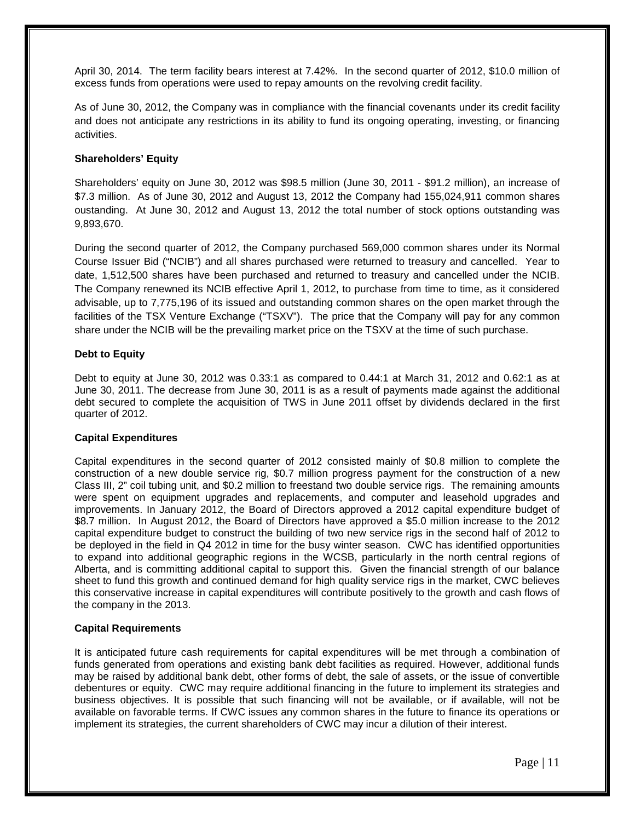April 30, 2014. The term facility bears interest at 7.42%. In the second quarter of 2012, \$10.0 million of excess funds from operations were used to repay amounts on the revolving credit facility.

As of June 30, 2012, the Company was in compliance with the financial covenants under its credit facility and does not anticipate any restrictions in its ability to fund its ongoing operating, investing, or financing activities.

#### **Shareholders' Equity**

Shareholders' equity on June 30, 2012 was \$98.5 million (June 30, 2011 - \$91.2 million), an increase of \$7.3 million. As of June 30, 2012 and August 13, 2012 the Company had 155,024,911 common shares oustanding. At June 30, 2012 and August 13, 2012 the total number of stock options outstanding was 9,893,670.

During the second quarter of 2012, the Company purchased 569,000 common shares under its Normal Course Issuer Bid ("NCIB") and all shares purchased were returned to treasury and cancelled. Year to date, 1,512,500 shares have been purchased and returned to treasury and cancelled under the NCIB. The Company renewned its NCIB effective April 1, 2012, to purchase from time to time, as it considered advisable, up to 7,775,196 of its issued and outstanding common shares on the open market through the facilities of the TSX Venture Exchange ("TSXV"). The price that the Company will pay for any common share under the NCIB will be the prevailing market price on the TSXV at the time of such purchase.

#### **Debt to Equity**

Debt to equity at June 30, 2012 was 0.33:1 as compared to 0.44:1 at March 31, 2012 and 0.62:1 as at June 30, 2011. The decrease from June 30, 2011 is as a result of payments made against the additional debt secured to complete the acquisition of TWS in June 2011 offset by dividends declared in the first quarter of 2012.

#### **Capital Expenditures**

Capital expenditures in the second quarter of 2012 consisted mainly of \$0.8 million to complete the construction of a new double service rig, \$0.7 million progress payment for the construction of a new Class III, 2" coil tubing unit, and \$0.2 million to freestand two double service rigs. The remaining amounts were spent on equipment upgrades and replacements, and computer and leasehold upgrades and improvements. In January 2012, the Board of Directors approved a 2012 capital expenditure budget of \$8.7 million. In August 2012, the Board of Directors have approved a \$5.0 million increase to the 2012 capital expenditure budget to construct the building of two new service rigs in the second half of 2012 to be deployed in the field in Q4 2012 in time for the busy winter season. CWC has identified opportunities to expand into additional geographic regions in the WCSB, particularly in the north central regions of Alberta, and is committing additional capital to support this. Given the financial strength of our balance sheet to fund this growth and continued demand for high quality service rigs in the market, CWC believes this conservative increase in capital expenditures will contribute positively to the growth and cash flows of the company in the 2013.

#### **Capital Requirements**

It is anticipated future cash requirements for capital expenditures will be met through a combination of funds generated from operations and existing bank debt facilities as required. However, additional funds may be raised by additional bank debt, other forms of debt, the sale of assets, or the issue of convertible debentures or equity. CWC may require additional financing in the future to implement its strategies and business objectives. It is possible that such financing will not be available, or if available, will not be available on favorable terms. If CWC issues any common shares in the future to finance its operations or implement its strategies, the current shareholders of CWC may incur a dilution of their interest.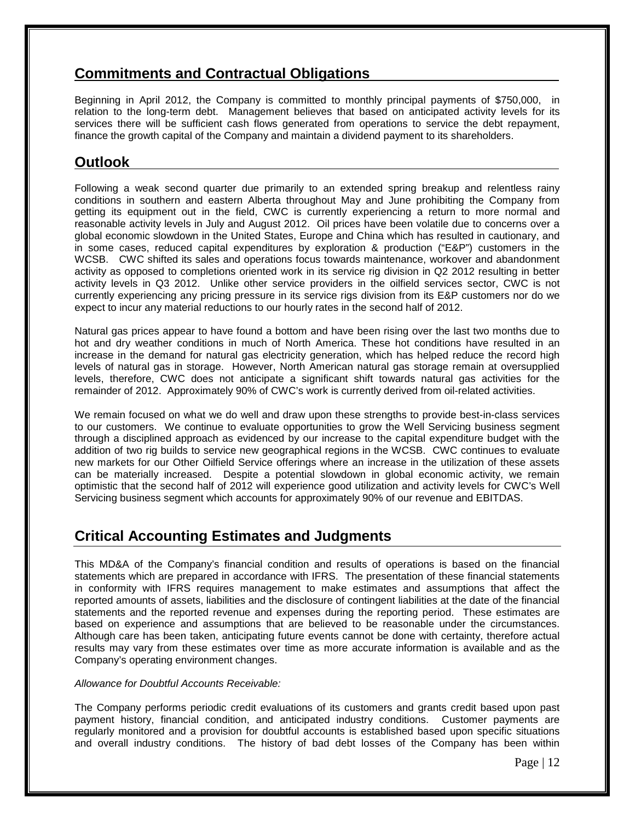## **Commitments and Contractual Obligations**

Beginning in April 2012, the Company is committed to monthly principal payments of \$750,000, in relation to the long-term debt. Management believes that based on anticipated activity levels for its services there will be sufficient cash flows generated from operations to service the debt repayment, finance the growth capital of the Company and maintain a dividend payment to its shareholders.

## **Outlook**

Following a weak second quarter due primarily to an extended spring breakup and relentless rainy conditions in southern and eastern Alberta throughout May and June prohibiting the Company from getting its equipment out in the field, CWC is currently experiencing a return to more normal and reasonable activity levels in July and August 2012. Oil prices have been volatile due to concerns over a global economic slowdown in the United States, Europe and China which has resulted in cautionary, and in some cases, reduced capital expenditures by exploration & production ("E&P") customers in the WCSB. CWC shifted its sales and operations focus towards maintenance, workover and abandonment activity as opposed to completions oriented work in its service rig division in Q2 2012 resulting in better activity levels in Q3 2012. Unlike other service providers in the oilfield services sector, CWC is not currently experiencing any pricing pressure in its service rigs division from its E&P customers nor do we expect to incur any material reductions to our hourly rates in the second half of 2012.

Natural gas prices appear to have found a bottom and have been rising over the last two months due to hot and dry weather conditions in much of North America. These hot conditions have resulted in an increase in the demand for natural gas electricity generation, which has helped reduce the record high levels of natural gas in storage. However, North American natural gas storage remain at oversupplied levels, therefore, CWC does not anticipate a significant shift towards natural gas activities for the remainder of 2012. Approximately 90% of CWC's work is currently derived from oil-related activities.

We remain focused on what we do well and draw upon these strengths to provide best-in-class services to our customers. We continue to evaluate opportunities to grow the Well Servicing business segment through a disciplined approach as evidenced by our increase to the capital expenditure budget with the addition of two rig builds to service new geographical regions in the WCSB. CWC continues to evaluate new markets for our Other Oilfield Service offerings where an increase in the utilization of these assets can be materially increased. Despite a potential slowdown in global economic activity, we remain optimistic that the second half of 2012 will experience good utilization and activity levels for CWC's Well Servicing business segment which accounts for approximately 90% of our revenue and EBITDAS.

## **Critical Accounting Estimates and Judgments**

This MD&A of the Company's financial condition and results of operations is based on the financial statements which are prepared in accordance with IFRS. The presentation of these financial statements in conformity with IFRS requires management to make estimates and assumptions that affect the reported amounts of assets, liabilities and the disclosure of contingent liabilities at the date of the financial statements and the reported revenue and expenses during the reporting period. These estimates are based on experience and assumptions that are believed to be reasonable under the circumstances. Although care has been taken, anticipating future events cannot be done with certainty, therefore actual results may vary from these estimates over time as more accurate information is available and as the Company's operating environment changes.

#### *Allowance for Doubtful Accounts Receivable:*

The Company performs periodic credit evaluations of its customers and grants credit based upon past payment history, financial condition, and anticipated industry conditions. Customer payments are regularly monitored and a provision for doubtful accounts is established based upon specific situations and overall industry conditions. The history of bad debt losses of the Company has been within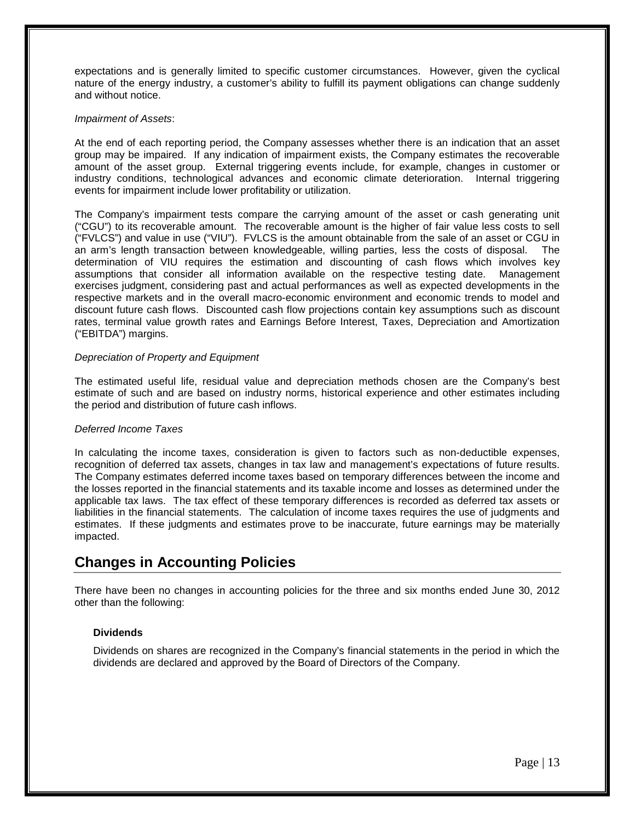expectations and is generally limited to specific customer circumstances. However, given the cyclical nature of the energy industry, a customer's ability to fulfill its payment obligations can change suddenly and without notice.

#### *Impairment of Assets*:

At the end of each reporting period, the Company assesses whether there is an indication that an asset group may be impaired. If any indication of impairment exists, the Company estimates the recoverable amount of the asset group. External triggering events include, for example, changes in customer or industry conditions, technological advances and economic climate deterioration. Internal triggering events for impairment include lower profitability or utilization.

The Company's impairment tests compare the carrying amount of the asset or cash generating unit ("CGU") to its recoverable amount. The recoverable amount is the higher of fair value less costs to sell ("FVLCS") and value in use ("VIU"). FVLCS is the amount obtainable from the sale of an asset or CGU in an arm's length transaction between knowledgeable, willing parties, less the costs of disposal. The determination of VIU requires the estimation and discounting of cash flows which involves key assumptions that consider all information available on the respective testing date. Management exercises judgment, considering past and actual performances as well as expected developments in the respective markets and in the overall macro-economic environment and economic trends to model and discount future cash flows. Discounted cash flow projections contain key assumptions such as discount rates, terminal value growth rates and Earnings Before Interest, Taxes, Depreciation and Amortization ("EBITDA") margins.

#### *Depreciation of Property and Equipment*

The estimated useful life, residual value and depreciation methods chosen are the Company's best estimate of such and are based on industry norms, historical experience and other estimates including the period and distribution of future cash inflows.

#### *Deferred Income Taxes*

In calculating the income taxes, consideration is given to factors such as non-deductible expenses, recognition of deferred tax assets, changes in tax law and management's expectations of future results. The Company estimates deferred income taxes based on temporary differences between the income and the losses reported in the financial statements and its taxable income and losses as determined under the applicable tax laws. The tax effect of these temporary differences is recorded as deferred tax assets or liabilities in the financial statements. The calculation of income taxes requires the use of judgments and estimates. If these judgments and estimates prove to be inaccurate, future earnings may be materially impacted.

## **Changes in Accounting Policies**

There have been no changes in accounting policies for the three and six months ended June 30, 2012 other than the following:

#### **Dividends**

Dividends on shares are recognized in the Company's financial statements in the period in which the dividends are declared and approved by the Board of Directors of the Company.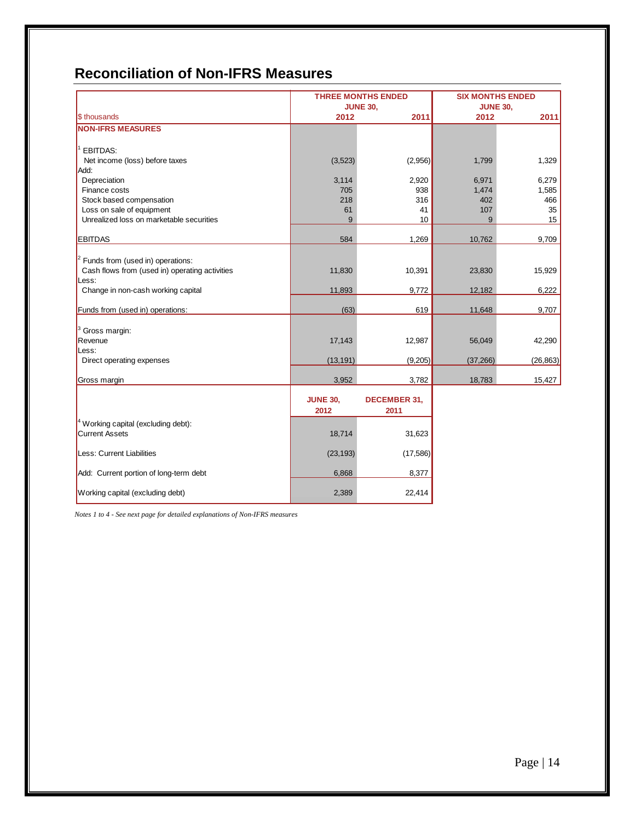# **Reconciliation of Non-IFRS Measures**

|                                                                                        |                         | <b>THREE MONTHS ENDED</b>   | <b>SIX MONTHS ENDED</b> |           |  |
|----------------------------------------------------------------------------------------|-------------------------|-----------------------------|-------------------------|-----------|--|
|                                                                                        |                         | <b>JUNE 30,</b>             | <b>JUNE 30,</b>         |           |  |
| \$ thousands                                                                           | 2012                    | 2011                        | 2012                    | 2011      |  |
| <b>NON-IFRS MEASURES</b>                                                               |                         |                             |                         |           |  |
| <b>EBITDAS:</b>                                                                        |                         |                             |                         |           |  |
| Net income (loss) before taxes<br>Add:                                                 | (3,523)                 | (2,956)                     | 1,799                   | 1,329     |  |
| Depreciation                                                                           | 3,114                   | 2,920                       | 6,971                   | 6,279     |  |
| Finance costs                                                                          | 705                     | 938                         | 1,474                   | 1,585     |  |
| Stock based compensation                                                               | 218                     | 316                         | 402                     | 466       |  |
| Loss on sale of equipment                                                              | 61                      | 41                          | 107                     | 35        |  |
| Unrealized loss on marketable securities                                               | 9                       | 10                          | 9                       | 15        |  |
| <b>EBITDAS</b>                                                                         | 584                     | 1,269                       | 10,762                  | 9,709     |  |
|                                                                                        |                         |                             |                         |           |  |
| $2$ Funds from (used in) operations:<br>Cash flows from (used in) operating activities | 11,830                  | 10,391                      | 23,830                  | 15,929    |  |
| Less:                                                                                  |                         |                             |                         |           |  |
| Change in non-cash working capital                                                     | 11,893                  | 9,772                       | 12,182                  | 6,222     |  |
|                                                                                        |                         |                             |                         |           |  |
| Funds from (used in) operations:                                                       | (63)                    | 619                         | 11,648                  | 9,707     |  |
|                                                                                        |                         |                             |                         |           |  |
| Gross margin:                                                                          |                         |                             |                         |           |  |
| Revenue                                                                                | 17,143                  | 12,987                      | 56,049                  | 42,290    |  |
| Less:                                                                                  |                         |                             |                         |           |  |
| Direct operating expenses                                                              | (13, 191)               | (9,205)                     | (37, 266)               | (26, 863) |  |
| Gross margin                                                                           | 3,952                   | 3,782                       | 18,783                  | 15,427    |  |
|                                                                                        | <b>JUNE 30,</b><br>2012 | <b>DECEMBER 31,</b><br>2011 |                         |           |  |
| <sup>4</sup> Working capital (excluding debt):<br><b>Current Assets</b>                | 18,714                  | 31,623                      |                         |           |  |
| Less: Current Liabilities                                                              | (23, 193)               | (17, 586)                   |                         |           |  |
| Add: Current portion of long-term debt                                                 | 6,868                   | 8,377                       |                         |           |  |
| Working capital (excluding debt)                                                       | 2,389                   | 22,414                      |                         |           |  |

*Notes 1 to 4 - See next page for detailed explanations of Non-IFRS measures*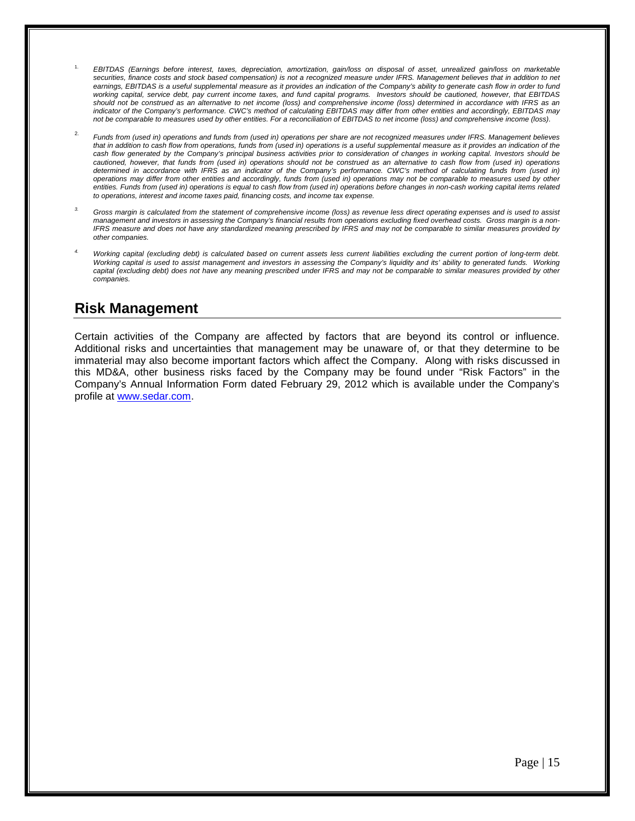- 1. *EBITDAS (Earnings before interest, taxes, depreciation, amortization, gain/loss on disposal of asset, unrealized gain/loss on marketable securities, finance costs and stock based compensation) is not a recognized measure under IFRS. Management believes that in addition to net earnings, EBITDAS is a useful supplemental measure as it provides an indication of the Company's ability to generate cash flow in order to fund working capital, service debt, pay current income taxes, and fund capital programs. Investors should be cautioned, however, that EBITDAS should not be construed as an alternative to net income (loss) and comprehensive income (loss) determined in accordance with IFRS as an*  indicator of the Company's performance. CWC's method of calculating EBITDAS may differ from other entities and accordingly, EBITDAS may *not be comparable to measures used by other entities. For a reconciliation of EBITDAS to net income (loss) and comprehensive income (loss).*
- 2. *Funds from (used in) operations and funds from (used in) operations per share are not recognized measures under IFRS. Management believes*  that in addition to cash flow from operations, funds from (used in) operations is a useful supplemental measure as it provides an indication of the *cash flow generated by the Company's principal business activities prior to consideration of changes in working capital. Investors should be cautioned, however, that funds from (used in) operations should not be construed as an alternative to cash flow from (used in) operations determined in accordance with IFRS as an indicator of the Company's performance. CWC's method of calculating funds from (used in) operations may differ from other entities and accordingly, funds from (used in) operations may not be comparable to measures used by other entities. Funds from (used in) operations is equal to cash flow from (used in) operations before changes in non-cash working capital items related to operations, interest and income taxes paid, financing costs, and income tax expense.*
- *3. Gross margin is calculated from the statement of comprehensive income (loss) as revenue less direct operating expenses and is used to assist management and investors in assessing the Company's financial results from operations excluding fixed overhead costs. Gross margin is a non-IFRS measure and does not have any standardized meaning prescribed by IFRS and may not be comparable to similar measures provided by other companies.*
- *4. Working capital (excluding debt) is calculated based on current assets less current liabilities excluding the current portion of long-term debt. Working capital is used to assist management and investors in assessing the Company's liquidity and its' ability to generated funds. Working*  capital (excluding debt) does not have any meaning prescribed under IFRS and may not be comparable to similar measures provided by other *companies.*

## **Risk Management**

Certain activities of the Company are affected by factors that are beyond its control or influence. Additional risks and uncertainties that management may be unaware of, or that they determine to be immaterial may also become important factors which affect the Company. Along with risks discussed in this MD&A, other business risks faced by the Company may be found under "Risk Factors" in the Company's Annual Information Form dated February 29, 2012 which is available under the Company's profile at [www.sedar.com.](http://www.sedar.com/)